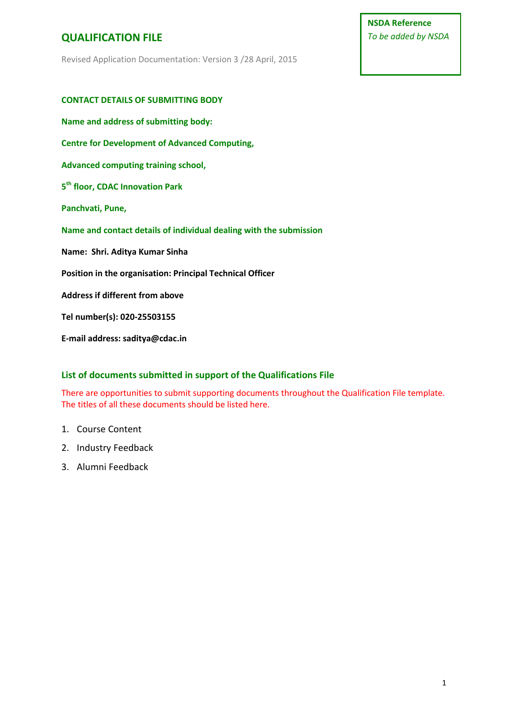**NSDA Reference** *To be added by NSDA*

Revised Application Documentation: Version 3 /28 April, 2015

| <b>CONTACT DETAILS OF SUBMITTING BODY</b>                          |
|--------------------------------------------------------------------|
| Name and address of submitting body:                               |
| <b>Centre for Development of Advanced Computing,</b>               |
| Advanced computing training school,                                |
| 5 <sup>th</sup> floor, CDAC Innovation Park                        |
| Panchvati, Pune,                                                   |
|                                                                    |
| Name and contact details of individual dealing with the submission |
| Name: Shri. Aditya Kumar Sinha                                     |
| Position in the organisation: Principal Technical Officer          |
| Address if different from above                                    |
| Tel number(s): 020-25503155                                        |

### **List of documents submitted in support of the Qualifications File**

There are opportunities to submit supporting documents throughout the Qualification File template. The titles of all these documents should be listed here.

### 1. Course Content

- 2. Industry Feedback
- 3. Alumni Feedback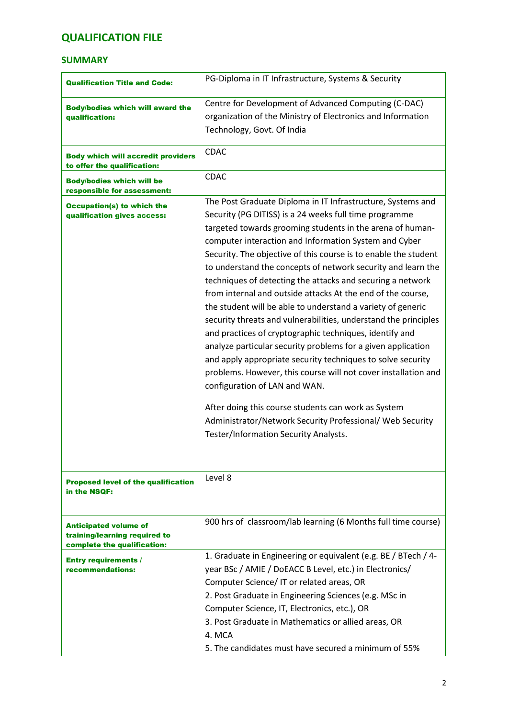### **SUMMARY**

| <b>Qualification Title and Code:</b>                                                         | PG-Diploma in IT Infrastructure, Systems & Security                                                                                                                                                                                                                                                                                                                                                                                                                                                                                                                                                                                                                                                                                                                                                                                                                                                                                        |
|----------------------------------------------------------------------------------------------|--------------------------------------------------------------------------------------------------------------------------------------------------------------------------------------------------------------------------------------------------------------------------------------------------------------------------------------------------------------------------------------------------------------------------------------------------------------------------------------------------------------------------------------------------------------------------------------------------------------------------------------------------------------------------------------------------------------------------------------------------------------------------------------------------------------------------------------------------------------------------------------------------------------------------------------------|
| <b>Body/bodies which will award the</b>                                                      | Centre for Development of Advanced Computing (C-DAC)                                                                                                                                                                                                                                                                                                                                                                                                                                                                                                                                                                                                                                                                                                                                                                                                                                                                                       |
| qualification:                                                                               | organization of the Ministry of Electronics and Information                                                                                                                                                                                                                                                                                                                                                                                                                                                                                                                                                                                                                                                                                                                                                                                                                                                                                |
|                                                                                              | Technology, Govt. Of India                                                                                                                                                                                                                                                                                                                                                                                                                                                                                                                                                                                                                                                                                                                                                                                                                                                                                                                 |
| <b>Body which will accredit providers</b><br>to offer the qualification:                     | <b>CDAC</b>                                                                                                                                                                                                                                                                                                                                                                                                                                                                                                                                                                                                                                                                                                                                                                                                                                                                                                                                |
| <b>Body/bodies which will be</b><br>responsible for assessment:                              | <b>CDAC</b>                                                                                                                                                                                                                                                                                                                                                                                                                                                                                                                                                                                                                                                                                                                                                                                                                                                                                                                                |
| <b>Occupation(s) to which the</b><br>qualification gives access:                             | The Post Graduate Diploma in IT Infrastructure, Systems and<br>Security (PG DITISS) is a 24 weeks full time programme<br>targeted towards grooming students in the arena of human-<br>computer interaction and Information System and Cyber<br>Security. The objective of this course is to enable the student<br>to understand the concepts of network security and learn the<br>techniques of detecting the attacks and securing a network<br>from internal and outside attacks At the end of the course,<br>the student will be able to understand a variety of generic<br>security threats and vulnerabilities, understand the principles<br>and practices of cryptographic techniques, identify and<br>analyze particular security problems for a given application<br>and apply appropriate security techniques to solve security<br>problems. However, this course will not cover installation and<br>configuration of LAN and WAN. |
|                                                                                              | After doing this course students can work as System<br>Administrator/Network Security Professional/ Web Security<br>Tester/Information Security Analysts.                                                                                                                                                                                                                                                                                                                                                                                                                                                                                                                                                                                                                                                                                                                                                                                  |
| <b>Proposed level of the qualification</b><br>in the NSQF:                                   | Level 8                                                                                                                                                                                                                                                                                                                                                                                                                                                                                                                                                                                                                                                                                                                                                                                                                                                                                                                                    |
| <b>Anticipated volume of</b><br>training/learning required to<br>complete the qualification: | 900 hrs of classroom/lab learning (6 Months full time course)                                                                                                                                                                                                                                                                                                                                                                                                                                                                                                                                                                                                                                                                                                                                                                                                                                                                              |
| <b>Entry requirements /</b><br>recommendations:                                              | 1. Graduate in Engineering or equivalent (e.g. BE / BTech / 4-<br>year BSc / AMIE / DoEACC B Level, etc.) in Electronics/<br>Computer Science/IT or related areas, OR<br>2. Post Graduate in Engineering Sciences (e.g. MSc in                                                                                                                                                                                                                                                                                                                                                                                                                                                                                                                                                                                                                                                                                                             |
|                                                                                              | Computer Science, IT, Electronics, etc.), OR<br>3. Post Graduate in Mathematics or allied areas, OR<br>4. MCA                                                                                                                                                                                                                                                                                                                                                                                                                                                                                                                                                                                                                                                                                                                                                                                                                              |
|                                                                                              | 5. The candidates must have secured a minimum of 55%                                                                                                                                                                                                                                                                                                                                                                                                                                                                                                                                                                                                                                                                                                                                                                                                                                                                                       |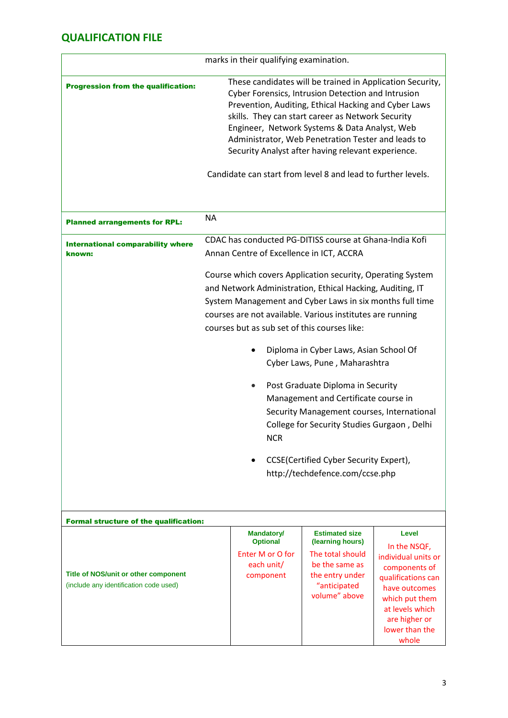|                                                                                |           | marks in their qualifying examination.                                                                                                                                                                                                                                                                                                                                                                                                                    |                                                                                                                                                                                                                                                                                                                                |                                                                                                                                                                                       |
|--------------------------------------------------------------------------------|-----------|-----------------------------------------------------------------------------------------------------------------------------------------------------------------------------------------------------------------------------------------------------------------------------------------------------------------------------------------------------------------------------------------------------------------------------------------------------------|--------------------------------------------------------------------------------------------------------------------------------------------------------------------------------------------------------------------------------------------------------------------------------------------------------------------------------|---------------------------------------------------------------------------------------------------------------------------------------------------------------------------------------|
| <b>Progression from the qualification:</b>                                     |           | These candidates will be trained in Application Security,<br>Cyber Forensics, Intrusion Detection and Intrusion<br>Prevention, Auditing, Ethical Hacking and Cyber Laws<br>skills. They can start career as Network Security<br>Engineer, Network Systems & Data Analyst, Web<br>Administrator, Web Penetration Tester and leads to<br>Security Analyst after having relevant experience.<br>Candidate can start from level 8 and lead to further levels. |                                                                                                                                                                                                                                                                                                                                |                                                                                                                                                                                       |
| <b>Planned arrangements for RPL:</b>                                           | <b>NA</b> |                                                                                                                                                                                                                                                                                                                                                                                                                                                           |                                                                                                                                                                                                                                                                                                                                |                                                                                                                                                                                       |
| <b>International comparability where</b><br>known:                             |           | CDAC has conducted PG-DITISS course at Ghana-India Kofi<br>Annan Centre of Excellence in ICT, ACCRA                                                                                                                                                                                                                                                                                                                                                       |                                                                                                                                                                                                                                                                                                                                |                                                                                                                                                                                       |
|                                                                                |           | Course which covers Application security, Operating System<br>and Network Administration, Ethical Hacking, Auditing, IT<br>System Management and Cyber Laws in six months full time<br>courses are not available. Various institutes are running<br>courses but as sub set of this courses like:<br><b>NCR</b>                                                                                                                                            | Diploma in Cyber Laws, Asian School Of<br>Cyber Laws, Pune, Maharashtra<br>Post Graduate Diploma in Security<br>Management and Certificate course in<br>Security Management courses, International<br>College for Security Studies Gurgaon, Delhi<br>CCSE(Certified Cyber Security Expert),<br>http://techdefence.com/ccse.php |                                                                                                                                                                                       |
| <b>Formal structure of the qualification:</b>                                  |           |                                                                                                                                                                                                                                                                                                                                                                                                                                                           |                                                                                                                                                                                                                                                                                                                                |                                                                                                                                                                                       |
| Title of NOS/unit or other component<br>(include any identification code used) |           | <b>Mandatory/</b><br><b>Optional</b><br>Enter M or O for<br>each unit/<br>component                                                                                                                                                                                                                                                                                                                                                                       | <b>Estimated size</b><br>(learning hours)<br>The total should<br>be the same as<br>the entry under<br>"anticipated<br>volume" above                                                                                                                                                                                            | Level<br>In the NSQF,<br>individual units or<br>components of<br>qualifications can<br>have outcomes<br>which put them<br>at levels which<br>are higher or<br>lower than the<br>whole |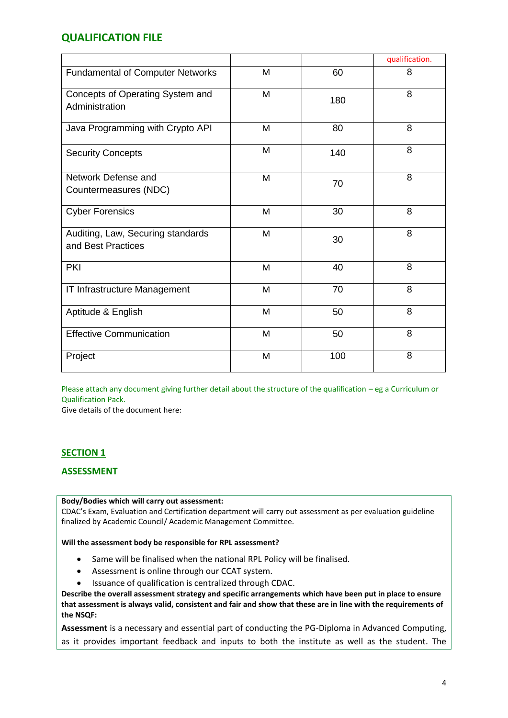|                                                         |   |     | qualification. |
|---------------------------------------------------------|---|-----|----------------|
| <b>Fundamental of Computer Networks</b>                 | M | 60  | 8              |
| Concepts of Operating System and<br>Administration      | M | 180 | 8              |
| Java Programming with Crypto API                        | M | 80  | 8              |
| <b>Security Concepts</b>                                | M | 140 | 8              |
| Network Defense and<br>Countermeasures (NDC)            | M | 70  | 8              |
| <b>Cyber Forensics</b>                                  | M | 30  | 8              |
| Auditing, Law, Securing standards<br>and Best Practices | M | 30  | 8              |
| <b>PKI</b>                                              | M | 40  | 8              |
| IT Infrastructure Management                            | M | 70  | 8              |
| Aptitude & English                                      | M | 50  | 8              |
| <b>Effective Communication</b>                          | M | 50  | 8              |
| Project                                                 | M | 100 | 8              |

Please attach any document giving further detail about the structure of the qualification – eg a Curriculum or Qualification Pack.

Give details of the document here:

### **SECTION 1**

#### **ASSESSMENT**

#### **Body/Bodies which will carry out assessment:**

CDAC's Exam, Evaluation and Certification department will carry out assessment as per evaluation guideline finalized by Academic Council/ Academic Management Committee.

**Will the assessment body be responsible for RPL assessment?** 

- Same will be finalised when the national RPL Policy will be finalised.
- Assessment is online through our CCAT system.
- Issuance of qualification is centralized through CDAC.

**Describe the overall assessment strategy and specific arrangements which have been put in place to ensure that assessment is always valid, consistent and fair and show that these are in line with the requirements of the NSQF:**

**Assessment** is a necessary and essential part of conducting the PG-Diploma in Advanced Computing, as it provides important feedback and inputs to both the institute as well as the student. The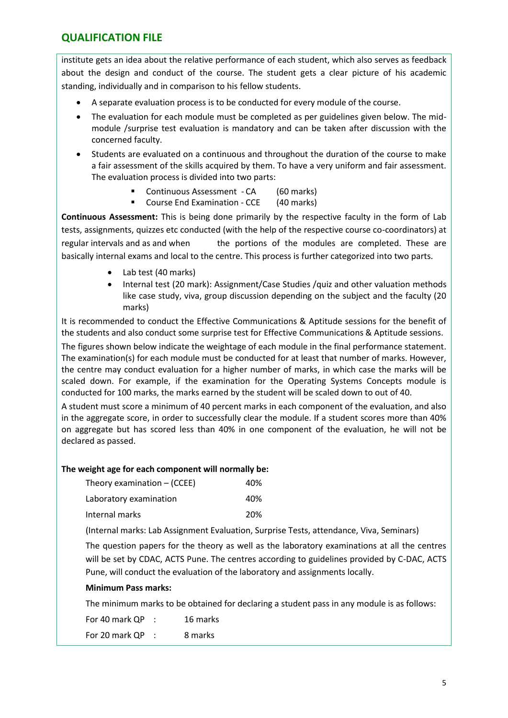institute gets an idea about the relative performance of each student, which also serves as feedback about the design and conduct of the course. The student gets a clear picture of his academic standing, individually and in comparison to his fellow students.

- A separate evaluation process is to be conducted for every module of the course.
- The evaluation for each module must be completed as per guidelines given below. The midmodule /surprise test evaluation is mandatory and can be taken after discussion with the concerned faculty.
- Students are evaluated on a continuous and throughout the duration of the course to make a fair assessment of the skills acquired by them. To have a very uniform and fair assessment. The evaluation process is divided into two parts:
	- Continuous Assessment CA (60 marks)
	- Course End Examination CCE (40 marks)

**Continuous Assessment:** This is being done primarily by the respective faculty in the form of Lab tests, assignments, quizzes etc conducted (with the help of the respective course co-coordinators) at regular intervals and as and when the portions of the modules are completed. These are basically internal exams and local to the centre. This process is further categorized into two parts.

- Lab test (40 marks)
- Internal test (20 mark): Assignment/Case Studies /quiz and other valuation methods like case study, viva, group discussion depending on the subject and the faculty (20 marks)

It is recommended to conduct the Effective Communications & Aptitude sessions for the benefit of the students and also conduct some surprise test for Effective Communications & Aptitude sessions.

The figures shown below indicate the weightage of each module in the final performance statement. The examination(s) for each module must be conducted for at least that number of marks. However, the centre may conduct evaluation for a higher number of marks, in which case the marks will be scaled down. For example, if the examination for the Operating Systems Concepts module is conducted for 100 marks, the marks earned by the student will be scaled down to out of 40.

A student must score a minimum of 40 percent marks in each component of the evaluation, and also in the aggregate score, in order to successfully clear the module. If a student scores more than 40% on aggregate but has scored less than 40% in one component of the evaluation, he will not be declared as passed.

### **The weight age for each component will normally be:**

| Theory examination $-$ (CCEE) | 40% |
|-------------------------------|-----|
| Laboratory examination        | 40% |
| Internal marks                | 20% |

(Internal marks: Lab Assignment Evaluation, Surprise Tests, attendance, Viva, Seminars)

The question papers for the theory as well as the laboratory examinations at all the centres will be set by CDAC, ACTS Pune. The centres according to guidelines provided by C-DAC, ACTS Pune, will conduct the evaluation of the laboratory and assignments locally.

### **Minimum Pass marks:**

The minimum marks to be obtained for declaring a student pass in any module is as follows:

For 40 mark QP : 16 marks For 20 mark QP : 8 marks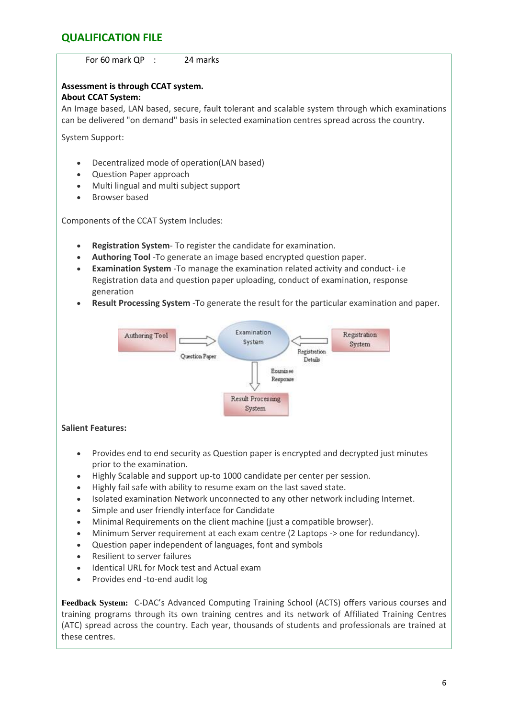

- Minimum Server requirement at each exam centre (2 Laptops -> one for redundancy).
- Question paper independent of languages, font and symbols
- Resilient to server failures
- Identical URL for Mock test and Actual exam
- Provides end -to-end audit log

**Feedback System:** C-DAC's Advanced Computing Training School (ACTS) offers various courses and training programs through its own training centres and its network of Affiliated Training Centres (ATC) spread across the country. Each year, thousands of students and professionals are trained at these centres.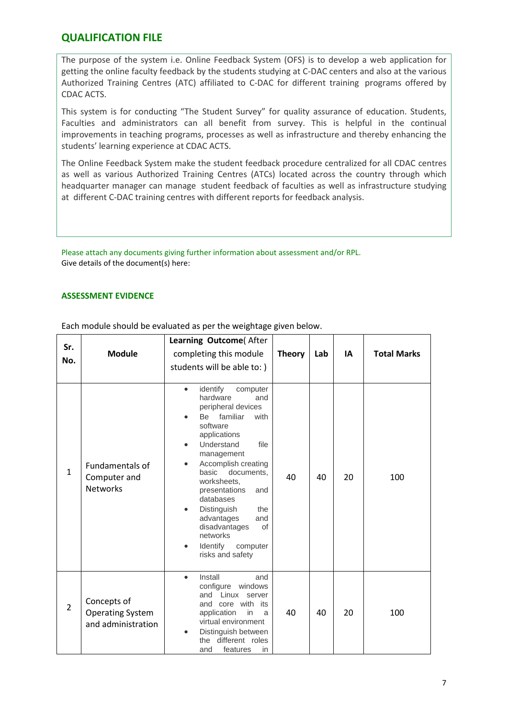The purpose of the system i.e. Online Feedback System (OFS) is to develop a web application for getting the online faculty feedback by the students studying at C-DAC centers and also at the various Authorized Training Centres (ATC) affiliated to C-DAC for different training programs offered by CDAC ACTS.

This system is for conducting "The Student Survey" for quality assurance of education. Students, Faculties and administrators can all benefit from survey. This is helpful in the continual improvements in teaching programs, processes as well as infrastructure and thereby enhancing the students' learning experience at CDAC ACTS.

The Online Feedback System make the student feedback procedure centralized for all CDAC centres as well as various Authorized Training Centres (ATCs) located across the country through which headquarter manager can manage student feedback of faculties as well as infrastructure studying at different C-DAC training centres with different reports for feedback analysis.

Please attach any documents giving further information about assessment and/or RPL. Give details of the document(s) here:

#### **ASSESSMENT EVIDENCE**

| Sr.<br>No.     | <b>Module</b>                                                | Learning Outcome(After<br>completing this module<br>students will be able to: )                                                                                                                                                                                                                                                                                                                                            | <b>Theory</b> | Lab | IA | <b>Total Marks</b> |
|----------------|--------------------------------------------------------------|----------------------------------------------------------------------------------------------------------------------------------------------------------------------------------------------------------------------------------------------------------------------------------------------------------------------------------------------------------------------------------------------------------------------------|---------------|-----|----|--------------------|
| $\mathbf{1}$   | <b>Fundamentals of</b><br>Computer and<br><b>Networks</b>    | identify<br>computer<br>$\bullet$<br>hardware<br>and<br>peripheral devices<br>familiar<br>Be<br>with<br>software<br>applications<br>Understand<br>file<br>management<br>Accomplish creating<br>$\bullet$<br>documents,<br>basic<br>worksheets,<br>presentations<br>and<br>databases<br>Distinguish<br>the<br>$\bullet$<br>advantages<br>and<br>disadvantages<br>of<br>networks<br>Identify<br>computer<br>risks and safety | 40            | 40  | 20 | 100                |
| $\overline{2}$ | Concepts of<br><b>Operating System</b><br>and administration | Install<br>and<br>$\bullet$<br>configure<br>windows<br>Linux server<br>and<br>and core with its<br>application<br>in<br>a<br>virtual environment<br>Distinguish between<br>the different roles<br>and<br>features<br>in                                                                                                                                                                                                    | 40            | 40  | 20 | 100                |

Each module should be evaluated as per the weightage given below.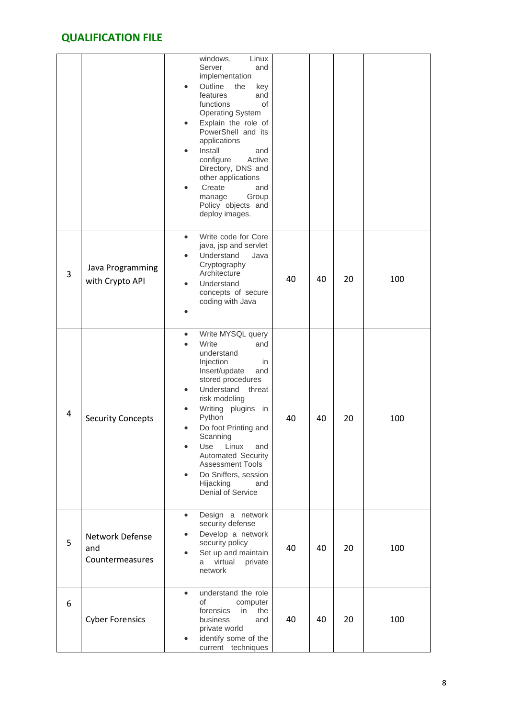|   |                                           | windows,<br>Linux<br>Server<br>and<br>implementation<br>Outline<br>the<br>key<br>$\bullet$<br>features<br>and<br>functions<br>οf<br><b>Operating System</b><br>Explain the role of<br>$\bullet$<br>PowerShell and its<br>applications<br>Install<br>and<br>configure<br>Active<br>Directory, DNS and<br>other applications<br>Create<br>and<br>Group<br>manage<br>Policy objects and<br>deploy images.                                     |    |    |    |     |
|---|-------------------------------------------|--------------------------------------------------------------------------------------------------------------------------------------------------------------------------------------------------------------------------------------------------------------------------------------------------------------------------------------------------------------------------------------------------------------------------------------------|----|----|----|-----|
| 3 | Java Programming<br>with Crypto API       | Write code for Core<br>$\bullet$<br>java, jsp and servlet<br>Understand<br>Java<br>$\bullet$<br>Cryptography<br>Architecture<br>Understand<br>concepts of secure<br>coding with Java                                                                                                                                                                                                                                                       | 40 | 40 | 20 | 100 |
| 4 | <b>Security Concepts</b>                  | Write MYSQL query<br>$\bullet$<br>Write<br>and<br>understand<br>Injection<br>in<br>Insert/update<br>and<br>stored procedures<br>Understand threat<br>$\bullet$<br>risk modeling<br>Writing plugins in<br>$\bullet$<br>Python<br>Do foot Printing and<br>$\bullet$<br>Scanning<br>Linux<br>Use<br>and<br><b>Automated Security</b><br><b>Assessment Tools</b><br>Do Sniffers, session<br>$\bullet$<br>Hijacking<br>and<br>Denial of Service | 40 | 40 | 20 | 100 |
| 5 | Network Defense<br>and<br>Countermeasures | Design a network<br>$\bullet$<br>security defense<br>Develop a network<br>$\bullet$<br>security policy<br>Set up and maintain<br>$\bullet$<br>virtual<br>private<br>a<br>network                                                                                                                                                                                                                                                           | 40 | 40 | 20 | 100 |
| 6 | <b>Cyber Forensics</b>                    | understand the role<br>$\bullet$<br>of<br>computer<br>forensics<br>in<br>the<br>business<br>and<br>private world<br>identify some of the<br>$\bullet$<br>current techniques                                                                                                                                                                                                                                                                | 40 | 40 | 20 | 100 |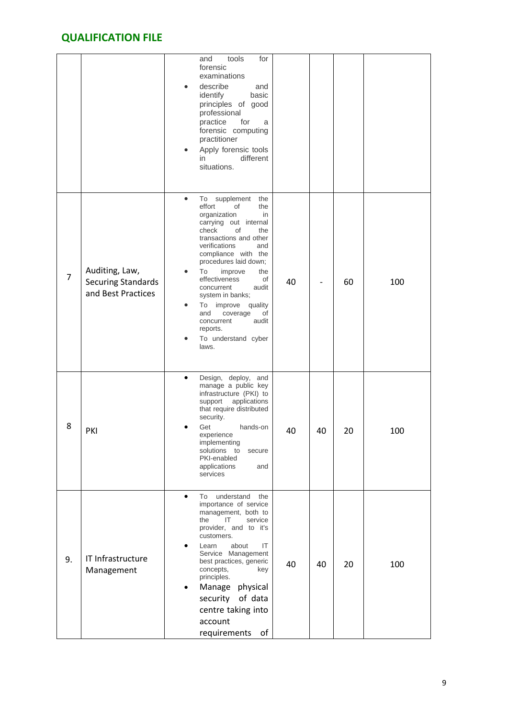|                |                                                                   | tools<br>and<br>for<br>forensic<br>examinations<br>describe<br>and<br>identify<br>basic<br>principles of good<br>professional<br>practice<br>for<br>a<br>forensic computing<br>practitioner<br>Apply forensic tools<br>different<br>in.<br>situations.                                                                                                                                                                                                  |    |     |
|----------------|-------------------------------------------------------------------|---------------------------------------------------------------------------------------------------------------------------------------------------------------------------------------------------------------------------------------------------------------------------------------------------------------------------------------------------------------------------------------------------------------------------------------------------------|----|-----|
| $\overline{7}$ | Auditing, Law,<br><b>Securing Standards</b><br>and Best Practices | supplement<br>$\bullet$<br>To<br>the<br>effort<br>0f<br>the<br>organization<br>in<br>carrying out internal<br>check<br>οf<br>the<br>transactions and other<br>verifications<br>and<br>compliance with the<br>procedures laid down;<br>To<br>improve<br>the<br>effectiveness<br>οf<br>40<br>concurrent<br>audit<br>system in banks;<br>improve quality<br>To<br>and<br>coverage<br>of<br>concurrent<br>audit<br>reports.<br>To understand cyber<br>laws. | 60 | 100 |
| 8              | PKI                                                               | Design, deploy, and<br>$\bullet$<br>manage a public key<br>infrastructure (PKI) to<br>support<br>applications<br>that require distributed<br>security.<br>Get<br>hands-on<br>40<br>40<br>experience<br>implementing<br>solutions to<br>secure<br>PKI-enabled<br>applications<br>and<br>services                                                                                                                                                         | 20 | 100 |
| 9.             | IT Infrastructure<br>Management                                   | $\bullet$<br>understand<br>To<br>the<br>importance of service<br>management, both to<br>IT<br>the<br>service<br>provider, and to it's<br>customers.<br>Learn<br>about<br>IT<br>Service Management<br>best practices, generic<br>40<br>40<br>concepts,<br>key<br>principles.<br>Manage<br>physical<br>$\bullet$<br>security of data<br>centre taking into<br>account<br>requirements<br>of                                                               | 20 | 100 |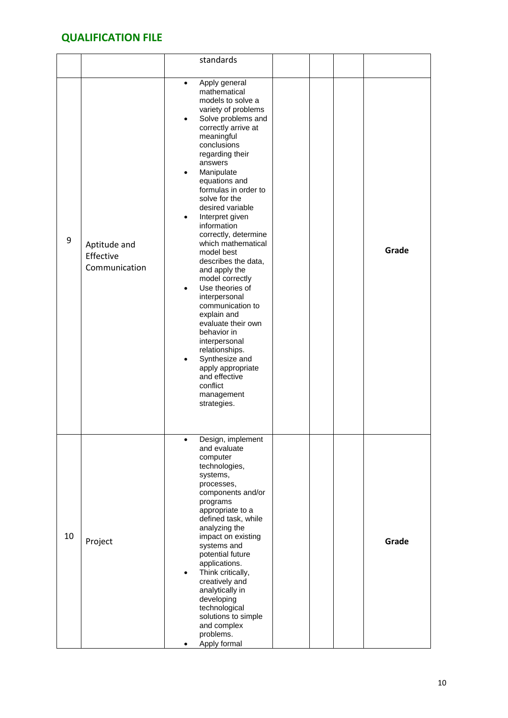|    |                                            | standards                                                                                                                                                                                                                                                                                                                                                                                                                                                                                                                                                                                                                                                                                                        |       |
|----|--------------------------------------------|------------------------------------------------------------------------------------------------------------------------------------------------------------------------------------------------------------------------------------------------------------------------------------------------------------------------------------------------------------------------------------------------------------------------------------------------------------------------------------------------------------------------------------------------------------------------------------------------------------------------------------------------------------------------------------------------------------------|-------|
| 9  | Aptitude and<br>Effective<br>Communication | Apply general<br>$\bullet$<br>mathematical<br>models to solve a<br>variety of problems<br>Solve problems and<br>$\bullet$<br>correctly arrive at<br>meaningful<br>conclusions<br>regarding their<br>answers<br>Manipulate<br>equations and<br>formulas in order to<br>solve for the<br>desired variable<br>Interpret given<br>information<br>correctly, determine<br>which mathematical<br>model best<br>describes the data,<br>and apply the<br>model correctly<br>Use theories of<br>interpersonal<br>communication to<br>explain and<br>evaluate their own<br>behavior in<br>interpersonal<br>relationships.<br>Synthesize and<br>apply appropriate<br>and effective<br>conflict<br>management<br>strategies. | Grade |
| 10 | Project                                    | Design, implement<br>and evaluate<br>computer<br>technologies,<br>systems,<br>processes,<br>components and/or<br>programs<br>appropriate to a<br>defined task, while<br>analyzing the<br>impact on existing<br>systems and<br>potential future<br>applications.<br>Think critically,<br>٠<br>creatively and<br>analytically in<br>developing<br>technological<br>solutions to simple<br>and complex<br>problems.<br>Apply formal                                                                                                                                                                                                                                                                                 | Grade |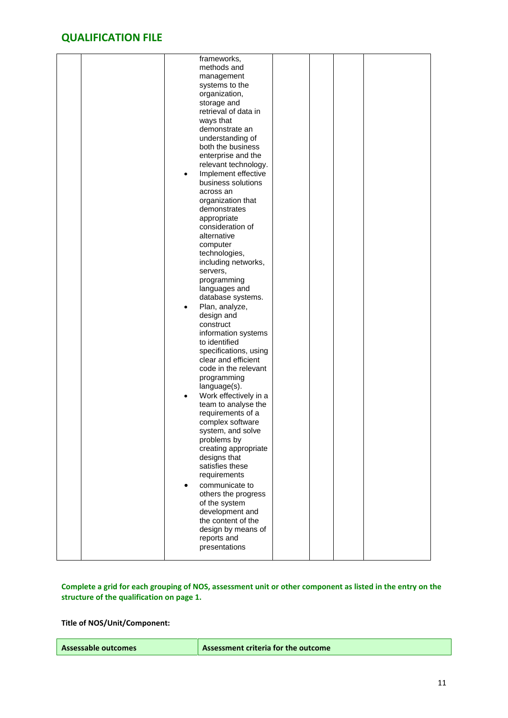| frameworks,<br>methods and<br>management<br>systems to the<br>organization,<br>storage and<br>retrieval of data in<br>ways that<br>demonstrate an<br>understanding of<br>both the business<br>enterprise and the<br>relevant technology.<br>Implement effective<br>$\bullet$<br>business solutions<br>across an<br>organization that<br>demonstrates<br>appropriate<br>consideration of<br>alternative<br>computer<br>technologies,<br>including networks,<br>servers,<br>programming<br>languages and<br>database systems.<br>Plan, analyze,<br>٠<br>design and<br>construct<br>information systems<br>to identified<br>specifications, using<br>clear and efficient<br>code in the relevant<br>programming<br>language(s).<br>Work effectively in a<br>team to analyse the<br>requirements of a<br>complex software<br>system, and solve<br>problems by<br>creating appropriate<br>designs that<br>satisfies these<br>requirements<br>communicate to |  |
|--------------------------------------------------------------------------------------------------------------------------------------------------------------------------------------------------------------------------------------------------------------------------------------------------------------------------------------------------------------------------------------------------------------------------------------------------------------------------------------------------------------------------------------------------------------------------------------------------------------------------------------------------------------------------------------------------------------------------------------------------------------------------------------------------------------------------------------------------------------------------------------------------------------------------------------------------------|--|
| others the progress<br>of the system<br>development and<br>the content of the<br>design by means of<br>reports and<br>presentations                                                                                                                                                                                                                                                                                                                                                                                                                                                                                                                                                                                                                                                                                                                                                                                                                    |  |

### **Complete a grid for each grouping of NOS, assessment unit or other component as listed in the entry on the structure of the qualification on page 1.**

**Title of NOS/Unit/Component:**

| Assessable outcomes | Assessment criteria for the outcome |
|---------------------|-------------------------------------|
|---------------------|-------------------------------------|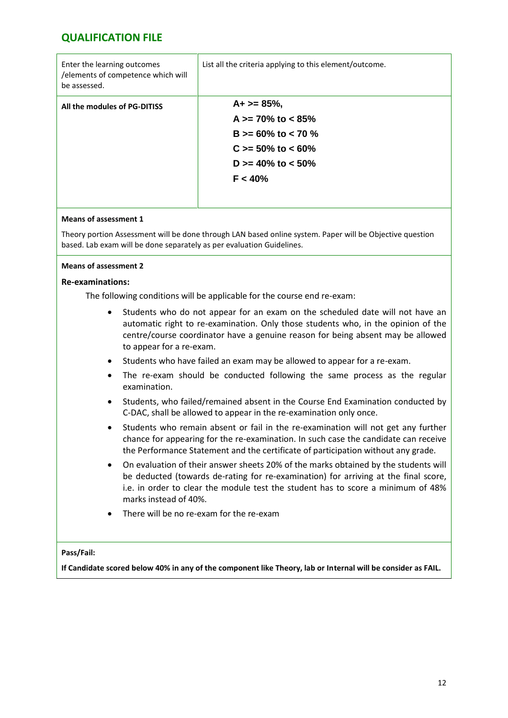| Enter the learning outcomes<br>/elements of competence which will<br>be assessed. | List all the criteria applying to this element/outcome. |
|-----------------------------------------------------------------------------------|---------------------------------------------------------|
| All the modules of PG-DITISS                                                      | $A+>=85%$                                               |
|                                                                                   | A $>= 70\%$ to $< 85\%$                                 |
|                                                                                   | B $>= 60\%$ to $< 70\%$                                 |
|                                                                                   | $C \ge 50\%$ to < 60%                                   |
|                                                                                   | D $>= 40\%$ to $< 50\%$                                 |
|                                                                                   | F < 40%                                                 |
|                                                                                   |                                                         |

### **Means of assessment 1**

Theory portion Assessment will be done through LAN based online system. Paper will be Objective question based. Lab exam will be done separately as per evaluation Guidelines.

#### **Means of assessment 2**

#### **Re-examinations:**

The following conditions will be applicable for the course end re-exam:

- Students who do not appear for an exam on the scheduled date will not have an automatic right to re-examination. Only those students who, in the opinion of the centre/course coordinator have a genuine reason for being absent may be allowed to appear for a re-exam.
- Students who have failed an exam may be allowed to appear for a re-exam.
- The re-exam should be conducted following the same process as the regular examination.
- Students, who failed/remained absent in the Course End Examination conducted by C-DAC, shall be allowed to appear in the re-examination only once.
- Students who remain absent or fail in the re-examination will not get any further chance for appearing for the re-examination. In such case the candidate can receive the Performance Statement and the certificate of participation without any grade.
- On evaluation of their answer sheets 20% of the marks obtained by the students will be deducted (towards de-rating for re-examination) for arriving at the final score, i.e. in order to clear the module test the student has to score a minimum of 48% marks instead of 40%.
- There will be no re-exam for the re-exam

#### **Pass/Fail:**

**If Candidate scored below 40% in any of the component like Theory, lab or Internal will be consider as FAIL.**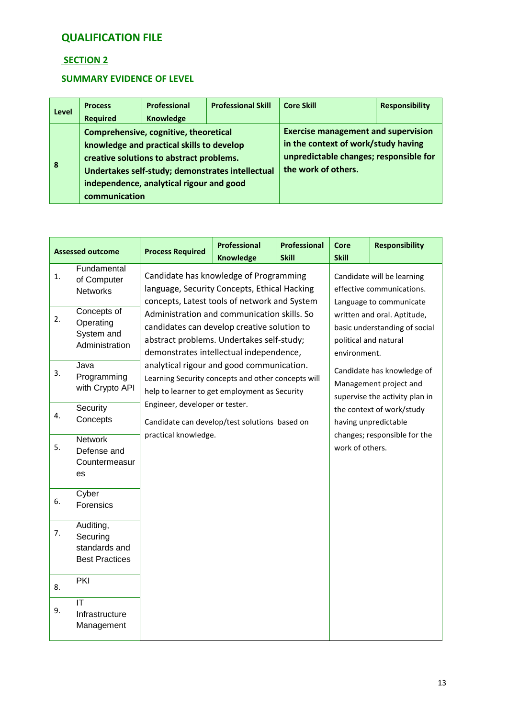### **SECTION 2**

### **SUMMARY EVIDENCE OF LEVEL**

| <b>Level</b> | <b>Process</b><br><b>Required</b> | Professional<br>Knowledge                                                                                                                                                                                                      | <b>Professional Skill</b> | <b>Core Skill</b> | <b>Responsibility</b>                                                                                                                              |  |  |
|--------------|-----------------------------------|--------------------------------------------------------------------------------------------------------------------------------------------------------------------------------------------------------------------------------|---------------------------|-------------------|----------------------------------------------------------------------------------------------------------------------------------------------------|--|--|
| 8            | communication                     | Comprehensive, cognitive, theoretical<br>knowledge and practical skills to develop<br>creative solutions to abstract problems.<br>Undertakes self-study; demonstrates intellectual<br>independence, analytical rigour and good |                           |                   | <b>Exercise management and supervision</b><br>in the context of work/study having<br>unpredictable changes; responsible for<br>the work of others. |  |  |

| <b>Assessed outcome</b> |                                                                 | <b>Process Required</b>                                                                                                                                                            | <b>Professional</b>                           | <b>Professional</b>                                                                                   | <b>Core</b>                                                                            | <b>Responsibility</b> |  |
|-------------------------|-----------------------------------------------------------------|------------------------------------------------------------------------------------------------------------------------------------------------------------------------------------|-----------------------------------------------|-------------------------------------------------------------------------------------------------------|----------------------------------------------------------------------------------------|-----------------------|--|
|                         |                                                                 |                                                                                                                                                                                    | <b>Knowledge</b>                              | <b>Skill</b>                                                                                          | <b>Skill</b>                                                                           |                       |  |
| 1.                      | Fundamental<br>of Computer<br><b>Networks</b>                   | Candidate has knowledge of Programming<br>language, Security Concepts, Ethical Hacking<br>concepts, Latest tools of network and System                                             |                                               |                                                                                                       | Candidate will be learning<br>effective communications.<br>Language to communicate     |                       |  |
| 2.                      | Concepts of<br>Operating<br>System and<br>Administration        | Administration and communication skills. So<br>candidates can develop creative solution to<br>abstract problems. Undertakes self-study;<br>demonstrates intellectual independence, |                                               | written and oral. Aptitude,<br>basic understanding of social<br>political and natural<br>environment. |                                                                                        |                       |  |
| 3.                      | Java<br>Programming<br>with Crypto API                          | analytical rigour and good communication.<br>Learning Security concepts and other concepts will<br>help to learner to get employment as Security                                   |                                               |                                                                                                       | Candidate has knowledge of<br>Management project and<br>supervise the activity plan in |                       |  |
| 4.                      | Security<br>Concepts                                            | Engineer, developer or tester.                                                                                                                                                     | Candidate can develop/test solutions based on | the context of work/study<br>having unpredictable<br>changes; responsible for the                     |                                                                                        |                       |  |
| 5.                      | <b>Network</b><br>Defense and<br>Countermeasur<br>es            | practical knowledge.                                                                                                                                                               |                                               |                                                                                                       | work of others.                                                                        |                       |  |
| 6.                      | Cyber<br>Forensics                                              |                                                                                                                                                                                    |                                               |                                                                                                       |                                                                                        |                       |  |
| 7.                      | Auditing,<br>Securing<br>standards and<br><b>Best Practices</b> |                                                                                                                                                                                    |                                               |                                                                                                       |                                                                                        |                       |  |
| 8.                      | PKI                                                             |                                                                                                                                                                                    |                                               |                                                                                                       |                                                                                        |                       |  |
| 9.                      | IT<br>Infrastructure<br>Management                              |                                                                                                                                                                                    |                                               |                                                                                                       |                                                                                        |                       |  |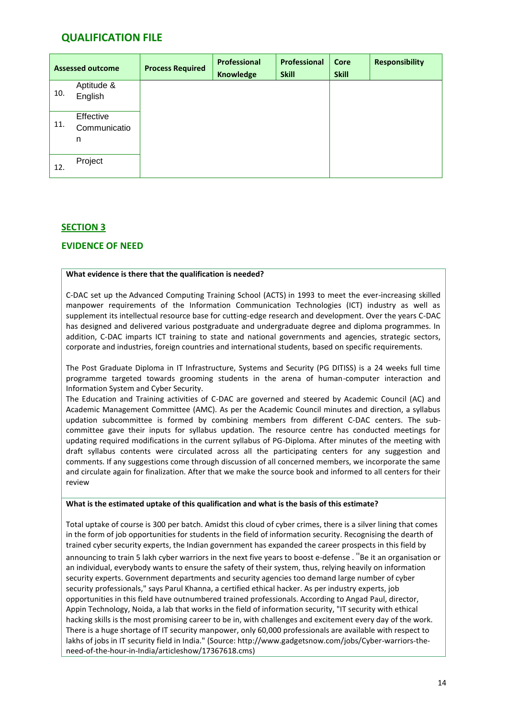| <b>Assessed outcome</b> |                                | <b>Process Required</b> | Professional<br>Knowledge | Professional<br><b>Skill</b> | <b>Core</b><br><b>Skill</b> | <b>Responsibility</b> |
|-------------------------|--------------------------------|-------------------------|---------------------------|------------------------------|-----------------------------|-----------------------|
| 10.                     | Aptitude &<br>English          |                         |                           |                              |                             |                       |
| 11.                     | Effective<br>Communicatio<br>n |                         |                           |                              |                             |                       |
| 12.                     | Project                        |                         |                           |                              |                             |                       |

### **SECTION 3**

### **EVIDENCE OF NEED**

#### **What evidence is there that the qualification is needed?**

C-DAC set up the Advanced Computing Training School (ACTS) in 1993 to meet the ever-increasing skilled manpower requirements of the Information Communication Technologies (ICT) industry as well as supplement its intellectual resource base for cutting-edge research and development. Over the years C-DAC has designed and delivered various postgraduate and undergraduate degree and diploma programmes. In addition, C-DAC imparts ICT training to state and national governments and agencies, strategic sectors, corporate and industries, foreign countries and international students, based on specific requirements.

The Post Graduate Diploma in IT Infrastructure, Systems and Security (PG DITISS) is a 24 weeks full time programme targeted towards grooming students in the arena of human-computer interaction and Information System and Cyber Security.

The Education and Training activities of C-DAC are governed and steered by Academic Council (AC) and Academic Management Committee (AMC). As per the Academic Council minutes and direction, a syllabus updation subcommittee is formed by combining members from different C-DAC centers. The subcommittee gave their inputs for syllabus updation. The resource centre has conducted meetings for updating required modifications in the current syllabus of PG-Diploma. After minutes of the meeting with draft syllabus contents were circulated across all the participating centers for any suggestion and comments. If any suggestions come through discussion of all concerned members, we incorporate the same and circulate again for finalization. After that we make the source book and informed to all centers for their review

#### **What is the estimated uptake of this qualification and what is the basis of this estimate?**

Total uptake of course is 300 per batch. Amidst this cloud of cyber crimes, there is a silver lining that comes in the form of job opportunities for students in the field of information security. Recognising the dearth of trained cyber security experts, the Indian government has expanded the career prospects in this field by

announcing to train 5 lakh cyber warriors in the next five years to boost e-defense . "Be it an organisation or an individual, everybody wants to ensure the safety of their system, thus, relying heavily on information security experts. Government departments and security agencies too demand large number of cyber security professionals," says Parul Khanna, a certified ethical hacker. As per industry experts, job opportunities in this field have outnumbered trained professionals. According to Angad Paul, director, Appin Technology, Noida, a lab that works in the field of information security, "IT security with ethical hacking skills is the most promising career to be in, with challenges and excitement every day of the work. There is a huge shortage of IT security manpower, only 60,000 professionals are available with respect to lakhs of jobs in IT security field in India." (Source: http://www.gadgetsnow.com/jobs/Cyber-warriors-theneed-of-the-hour-in-India/articleshow/17367618.cms)